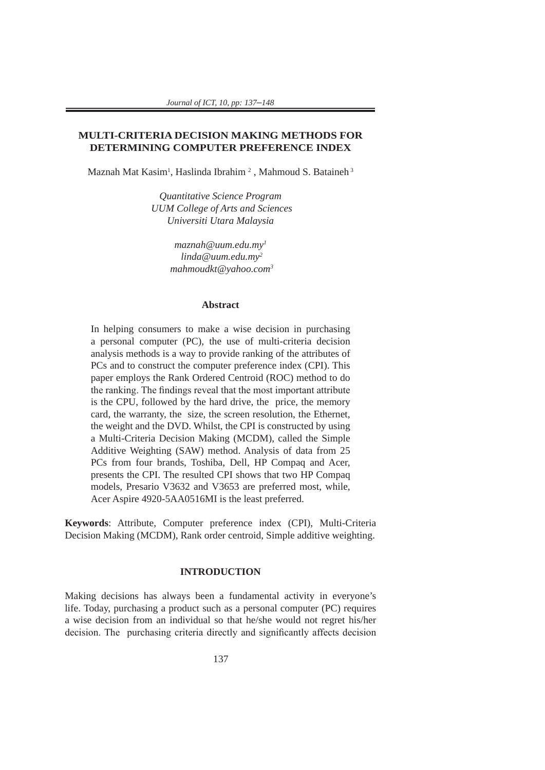## **MULTI-CRITERIA DECISION MAKING METHODS FOR DETERMINING COMPUTER PREFERENCE INDEX**

Maznah Mat Kasim<sup>1</sup>, Haslinda Ibrahim<sup>2</sup>, Mahmoud S. Bataineh<sup>3</sup>

*Quantitative Science Program UUM College of Arts and Sciences Universiti Utara Malaysia*

> *maznah@uum.edu.my1 linda@uum.edu.my2 mahmoudkt@yahoo.com3*

### **Abstract**

In helping consumers to make a wise decision in purchasing a personal computer (PC), the use of multi-criteria decision analysis methods is a way to provide ranking of the attributes of PCs and to construct the computer preference index (CPI). This paper employs the Rank Ordered Centroid (ROC) method to do the ranking. The findings reveal that the most important attribute is the CPU, followed by the hard drive, the price, the memory card, the warranty, the size, the screen resolution, the Ethernet, the weight and the DVD. Whilst, the CPI is constructed by using a Multi-Criteria Decision Making (MCDM), called the Simple Additive Weighting (SAW) method. Analysis of data from 25 PCs from four brands, Toshiba, Dell, HP Compaq and Acer, presents the CPI. The resulted CPI shows that two HP Compaq models, Presario V3632 and V3653 are preferred most, while, Acer Aspire 4920-5AA0516MI is the least preferred.

**Keywords**: Attribute, Computer preference index (CPI), Multi-Criteria Decision Making (MCDM), Rank order centroid, Simple additive weighting.

#### **INTRODUCTION**

Making decisions has always been a fundamental activity in everyone's life. Today, purchasing a product such as a personal computer (PC) requires a wise decision from an individual so that he/she would not regret his/her decision. The purchasing criteria directly and significantly affects decision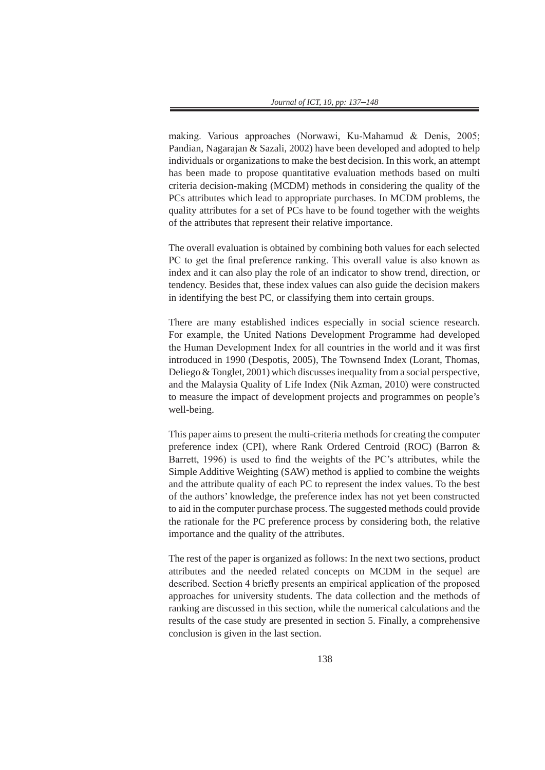making. Various approaches (Norwawi, Ku-Mahamud & Denis, 2005; Pandian, Nagarajan & Sazali, 2002) have been developed and adopted to help individuals or organizations to make the best decision. In this work, an attempt has been made to propose quantitative evaluation methods based on multi criteria decision-making (MCDM) methods in considering the quality of the PCs attributes which lead to appropriate purchases. In MCDM problems, the quality attributes for a set of PCs have to be found together with the weights of the attributes that represent their relative importance.

The overall evaluation is obtained by combining both values for each selected PC to get the final preference ranking. This overall value is also known as index and it can also play the role of an indicator to show trend, direction, or tendency. Besides that, these index values can also guide the decision makers in identifying the best PC, or classifying them into certain groups.

There are many established indices especially in social science research. For example, the United Nations Development Programme had developed the Human Development Index for all countries in the world and it was first introduced in 1990 (Despotis, 2005), The Townsend Index (Lorant, Thomas, Deliego & Tonglet, 2001) which discusses inequality from a social perspective, and the Malaysia Quality of Life Index (Nik Azman, 2010) were constructed to measure the impact of development projects and programmes on people's well-being.

This paper aims to present the multi-criteria methods for creating the computer preference index (CPI), where Rank Ordered Centroid (ROC) (Barron & Barrett, 1996) is used to find the weights of the PC's attributes, while the Simple Additive Weighting (SAW) method is applied to combine the weights and the attribute quality of each PC to represent the index values. To the best of the authors' knowledge, the preference index has not yet been constructed to aid in the computer purchase process. The suggested methods could provide the rationale for the PC preference process by considering both, the relative importance and the quality of the attributes.

The rest of the paper is organized as follows: In the next two sections, product attributes and the needed related concepts on MCDM in the sequel are described. Section 4 briefly presents an empirical application of the proposed approaches for university students. The data collection and the methods of ranking are discussed in this section, while the numerical calculations and the results of the case study are presented in section 5. Finally, a comprehensive conclusion is given in the last section.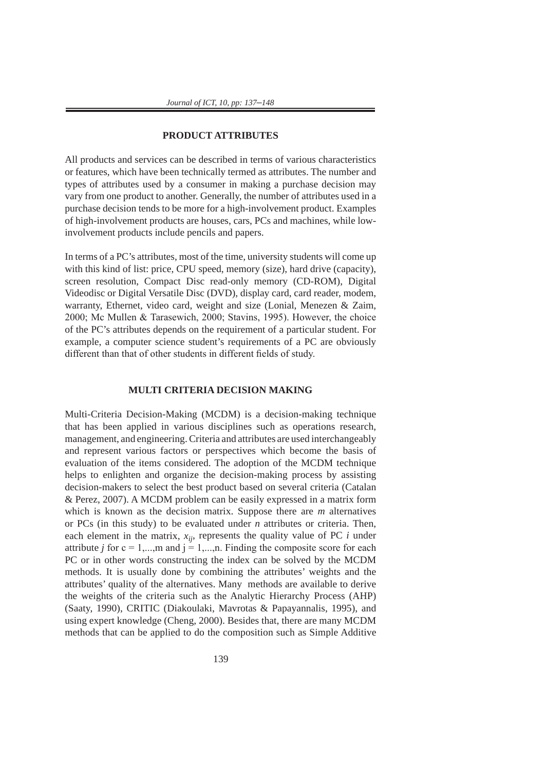#### **PRODUCT ATTRIBUTES**

All products and services can be described in terms of various characteristics or features, which have been technically termed as attributes. The number and types of attributes used by a consumer in making a purchase decision may vary from one product to another. Generally, the number of attributes used in a purchase decision tends to be more for a high-involvement product. Examples of high-involvement products are houses, cars, PCs and machines, while lowinvolvement products include pencils and papers.

In terms of a PC's attributes, most of the time, university students will come up with this kind of list: price, CPU speed, memory (size), hard drive (capacity), screen resolution, Compact Disc read-only memory (CD-ROM), Digital Videodisc or Digital Versatile Disc (DVD), display card, card reader, modem, warranty, Ethernet, video card, weight and size (Lonial, Menezen & Zaim, 2000; Mc Mullen & Tarasewich, 2000; Stavins, 1995). However, the choice of the PC's attributes depends on the requirement of a particular student. For example, a computer science student's requirements of a PC are obviously different than that of other students in different fields of study.

#### **MULTI CRITERIA DECISION MAKING**

Multi-Criteria Decision-Making (MCDM) is a decision-making technique that has been applied in various disciplines such as operations research, management, and engineering. Criteria and attributes are used interchangeably and represent various factors or perspectives which become the basis of evaluation of the items considered. The adoption of the MCDM technique helps to enlighten and organize the decision-making process by assisting decision-makers to select the best product based on several criteria (Catalan & Perez, 2007). A MCDM problem can be easily expressed in a matrix form which is known as the decision matrix. Suppose there are *m* alternatives or PCs (in this study) to be evaluated under *n* attributes or criteria. Then, each element in the matrix,  $x_{ij}$ , represents the quality value of PC  $i$  under attribute *j* for  $c = 1,...,m$  and  $j = 1,...,n$ . Finding the composite score for each PC or in other words constructing the index can be solved by the MCDM methods. It is usually done by combining the attributes' weights and the attributes' quality of the alternatives. Many methods are available to derive the weights of the criteria such as the Analytic Hierarchy Process (AHP) (Saaty, 1990), CRITIC (Diakoulaki, Mavrotas & Papayannalis, 1995), and using expert knowledge (Cheng, 2000). Besides that, there are many MCDM methods that can be applied to do the composition such as Simple Additive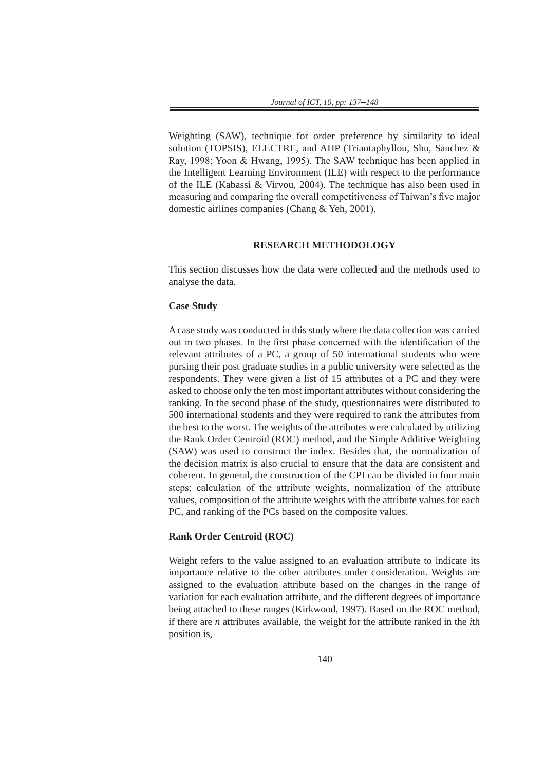Weighting (SAW), technique for order preference by similarity to ideal solution (TOPSIS), ELECTRE, and AHP (Triantaphyllou, Shu, Sanchez & Ray, 1998; Yoon & Hwang, 1995). The SAW technique has been applied in the Intelligent Learning Environment (ILE) with respect to the performance of the ILE (Kabassi & Virvou, 2004). The technique has also been used in measuring and comparing the overall competitiveness of Taiwan's five major domestic airlines companies (Chang & Yeh, 2001).

## **RESEARCH METHODOLOGY**

This section discusses how the data were collected and the methods used to analyse the data.

#### **Case Study**

A case study was conducted in this study where the data collection was carried out in two phases. In the first phase concerned with the identification of the relevant attributes of a PC, a group of 50 international students who were pursing their post graduate studies in a public university were selected as the respondents. They were given a list of 15 attributes of a PC and they were asked to choose only the ten most important attributes without considering the ranking. In the second phase of the study, questionnaires were distributed to 500 international students and they were required to rank the attributes from the best to the worst. The weights of the attributes were calculated by utilizing the Rank Order Centroid (ROC) method, and the Simple Additive Weighting (SAW) was used to construct the index. Besides that, the normalization of the decision matrix is also crucial to ensure that the data are consistent and coherent. In general, the construction of the CPI can be divided in four main steps; calculation of the attribute weights, normalization of the attribute values, composition of the attribute weights with the attribute values for each PC, and ranking of the PCs based on the composite values.

#### **Rank Order Centroid (ROC)**

Weight refers to the value assigned to an evaluation attribute to indicate its importance relative to the other attributes under consideration. Weights are assigned to the evaluation attribute based on the changes in the range of variation for each evaluation attribute, and the different degrees of importance being attached to these ranges (Kirkwood, 1997). Based on the ROC method, if there are *n* attributes available, the weight for the attribute ranked in the *i*th position is,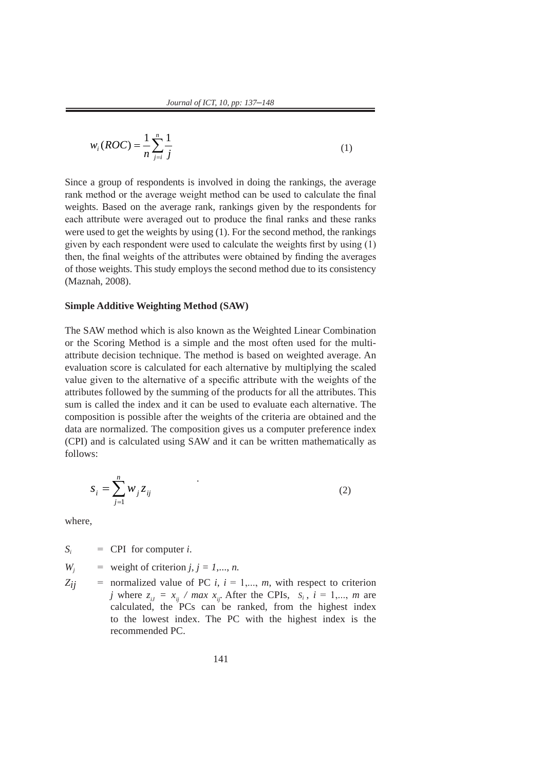$$
w_i(ROC) = \frac{1}{n} \sum_{j=i}^{n} \frac{1}{j}
$$
 (1)

Since a group of respondents is involved in doing the rankings, the average rank method or the average weight method can be used to calculate the final weights. Based on the average rank, rankings given by the respondents for each attribute were averaged out to produce the final ranks and these ranks were used to get the weights by using (1). For the second method, the rankings given by each respondent were used to calculate the weights first by using (1) then, the final weights of the attributes were obtained by finding the averages of those weights. This study employs the second method due to its consistency (Maznah, 2008).

#### **Simple Additive Weighting Method (SAW)**

The SAW method which is also known as the Weighted Linear Combination or the Scoring Method is a simple and the most often used for the multiattribute decision technique. The method is based on weighted average. An evaluation score is calculated for each alternative by multiplying the scaled value given to the alternative of a specific attribute with the weights of the attributes followed by the summing of the products for all the attributes. This sum is called the index and it can be used to evaluate each alternative. The composition is possible after the weights of the criteria are obtained and the data are normalized. The composition gives us a computer preference index (CPI) and is calculated using SAW and it can be written mathematically as follows:

$$
S_i = \sum_{j=1}^n W_j Z_{ij} \tag{2}
$$

where,

 $S_i$  = CPI for computer *i*.

 $W_i$  = weight of criterion  $j, j = 1, \ldots, n$ .

 $Z_{ij}$  = normalized value of PC *i*,  $i = 1,..., m$ , with respect to criterion *j* where  $z_{ij} = x_{ij}$  / max  $x_{ji}$ . After the CPIs,  $S_i$ ,  $i = 1,..., m$  are calculated, the PCs can be ranked, from the highest index to the lowest index. The PC with the highest index is the recommended PC.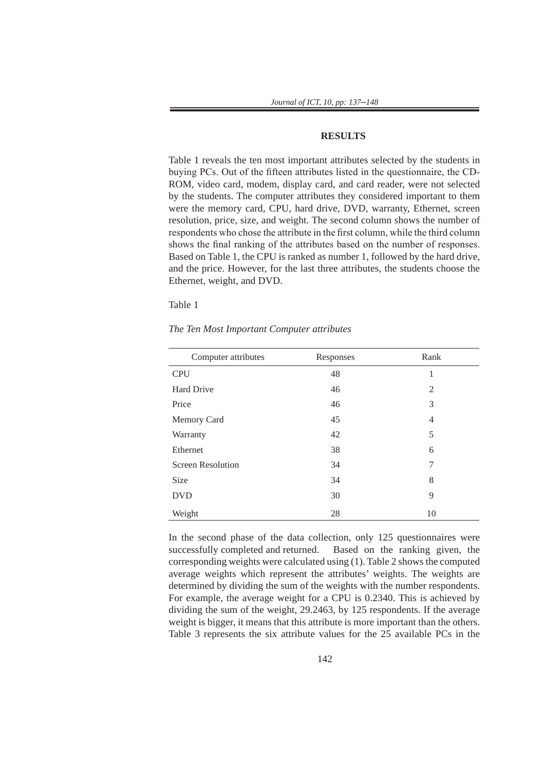#### **RESULTS**

Table 1 reveals the ten most important attributes selected by the students in buying PCs. Out of the fifteen attributes listed in the questionnaire, the CD-ROM, video card, modem, display card, and card reader, were not selected by the students. The computer attributes they considered important to them were the memory card, CPU, hard drive, DVD, warranty, Ethernet, screen resolution, price, size, and weight. The second column shows the number of respondents who chose the attribute in the first column, while the third column shows the final ranking of the attributes based on the number of responses. Based on Table 1, the CPU is ranked as number 1, followed by the hard drive, and the price. However, for the last three attributes, the students choose the Ethernet, weight, and DVD.

Table 1

| Computer attributes      | Responses | Rank           |
|--------------------------|-----------|----------------|
| <b>CPU</b>               | 48        | 1              |
| Hard Drive               | 46        | 2              |
| Price                    | 46        | 3              |
| Memory Card              | 45        | $\overline{4}$ |
| Warranty                 | 42        | 5              |
| Ethernet                 | 38        | 6              |
| <b>Screen Resolution</b> | 34        | 7              |
| <b>Size</b>              | 34        | 8              |
| <b>DVD</b>               | 30        | 9              |
| Weight                   | 28        | 10             |

*The Ten Most Important Computer attributes*

In the second phase of the data collection, only 125 questionnaires were successfully completed and returned. Based on the ranking given, the corresponding weights were calculated using (1). Table 2 shows the computed average weights which represent the attributes' weights. The weights are determined by dividing the sum of the weights with the number respondents. For example, the average weight for a CPU is 0.2340. This is achieved by dividing the sum of the weight, 29.2463, by 125 respondents. If the average weight is bigger, it means that this attribute is more important than the others. Table 3 represents the six attribute values for the 25 available PCs in the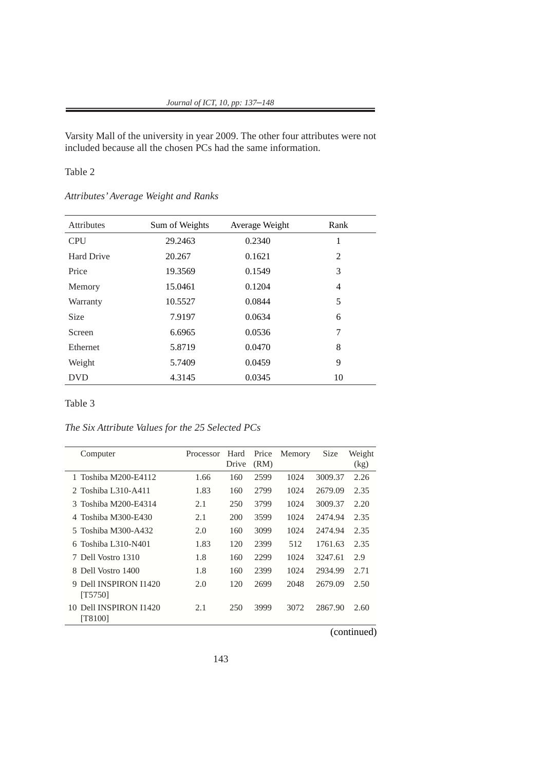Varsity Mall of the university in year 2009. The other four attributes were not included because all the chosen PCs had the same information.

## Table 2

*Attributes' Average Weight and Ranks*

| <b>Attributes</b> | Sum of Weights | Average Weight | Rank |
|-------------------|----------------|----------------|------|
| <b>CPU</b>        | 29.2463        | 0.2340         | 1    |
| <b>Hard Drive</b> | 20.267         | 0.1621         | 2    |
| Price             | 19.3569        | 0.1549         | 3    |
| Memory            | 15.0461        | 0.1204         | 4    |
| Warranty          | 10.5527        | 0.0844         | 5    |
| <b>Size</b>       | 7.9197         | 0.0634         | 6    |
| Screen            | 6.6965         | 0.0536         | 7    |
| Ethernet          | 5.8719         | 0.0470         | 8    |
| Weight            | 5.7409         | 0.0459         | 9    |
| <b>DVD</b>        | 4.3145         | 0.0345         | 10   |

Table 3

*The Six Attribute Values for the 25 Selected PCs*

| Computer                             | Processor | Hard<br>Drive | Price<br>(RM) | Memory | Size    | Weight<br>(kg) |
|--------------------------------------|-----------|---------------|---------------|--------|---------|----------------|
| 1 Toshiba M200-E4112                 | 1.66      | 160           | 2599          | 1024   | 3009.37 | 2.26           |
| 2 Toshiba L310-A411                  | 1.83      | 160           | 2799          | 1024   | 2679.09 | 2.35           |
| Toshiba M200-E4314<br>$\mathcal{R}$  | 2.1       | 250           | 3799          | 1024   | 3009.37 | 2.20           |
| Toshiba M300-E430                    | 2.1       | 200           | 3599          | 1024   | 2474.94 | 2.35           |
| 5 Toshiba M300-A432                  | 2.0       | 160           | 3099          | 1024   | 2474.94 | 2.35           |
| Toshiba L310-N401<br>6               | 1.83      | 120           | 2399          | 512    | 1761.63 | 2.35           |
| 7 Dell Vostro 1310                   | 1.8       | 160           | 2299          | 1024   | 3247.61 | 2.9            |
| 8 Dell Vostro 1400                   | 1.8       | 160           | 2399          | 1024   | 2934.99 | 2.71           |
| Dell INSPIRON I1420<br>[T5750]       | 2.0       | 120           | 2699          | 2048   | 2679.09 | 2.50           |
| Dell INSPIRON I1420<br>10<br>[T8100] | 2.1       | 250           | 3999          | 3072   | 2867.90 | 2.60           |

(continued)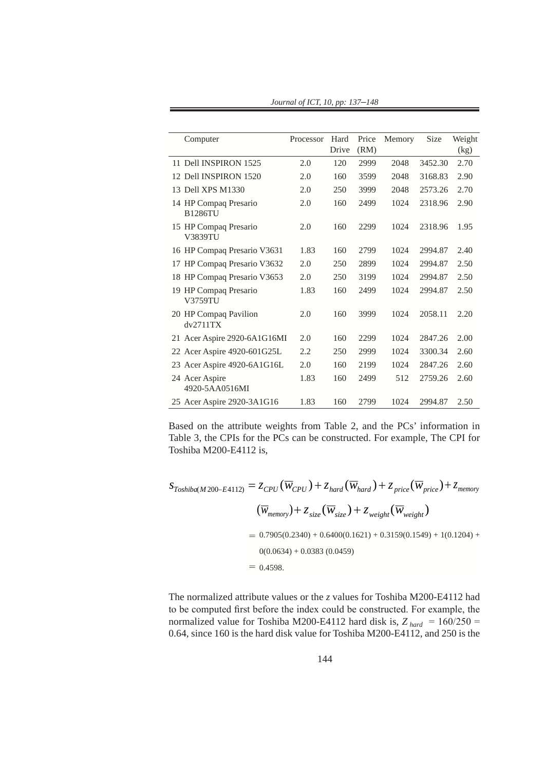| Computer                          | Processor | Hard  | Price | Memory | Size    | Weight |
|-----------------------------------|-----------|-------|-------|--------|---------|--------|
|                                   |           | Drive | (RM)  |        |         | (kg)   |
| 11 Dell INSPIRON 1525             | 2.0       | 120   | 2999  | 2048   | 3452.30 | 2.70   |
| 12 Dell INSPIRON 1520             | 2.0       | 160   | 3599  | 2048   | 3168.83 | 2.90   |
| 13 Dell XPS M1330                 | 2.0       | 250   | 3999  | 2048   | 2573.26 | 2.70   |
| 14 HP Compaq Presario<br>B1286TU  | 2.0       | 160   | 2499  | 1024   | 2318.96 | 2.90   |
| 15 HP Compaq Presario<br>V3839TU  | 2.0       | 160   | 2299  | 1024   | 2318.96 | 1.95   |
| 16 HP Compaq Presario V3631       | 1.83      | 160   | 2799  | 1024   | 2994.87 | 2.40   |
| HP Compaq Presario V3632<br>17    | 2.0       | 250   | 2899  | 1024   | 2994.87 | 2.50   |
| 18 HP Compaq Presario V3653       | 2.0       | 250   | 3199  | 1024   | 2994.87 | 2.50   |
| 19 HP Compaq Presario<br>V3759TU  | 1.83      | 160   | 2499  | 1024   | 2994.87 | 2.50   |
| 20 HP Compaq Pavilion<br>dv2711TX | 2.0       | 160   | 3999  | 1024   | 2058.11 | 2.20   |
| 21 Acer Aspire 2920-6A1G16MI      | 2.0       | 160   | 2299  | 1024   | 2847.26 | 2.00   |
| 22 Acer Aspire 4920-601G25L       | 2.2       | 250   | 2999  | 1024   | 3300.34 | 2.60   |
| 23 Acer Aspire 4920-6A1G16L       | 2.0       | 160   | 2199  | 1024   | 2847.26 | 2.60   |
| 24 Acer Aspire<br>4920-5AA0516MI  | 1.83      | 160   | 2499  | 512    | 2759.26 | 2.60   |
| 25 Acer Aspire 2920-3A1G16        | 1.83      | 160   | 2799  | 1024   | 2994.87 | 2.50   |

*Journal of ICT, 10, pp: 137*–*148*

Based on the attribute weights from Table 2, and the PCs' information in Table 3, the CPIs for the PCs can be constructed. For example, The CPI for Toshiba M200-E4112 is,

$$
S_{Toshiba(M200-E4112)} = Z_{CPU}(\overline{W}_{CPU}) + Z_{hard}(\overline{W}_{hard}) + Z_{price}(\overline{W}_{price}) + Z_{memory}
$$
  
\n
$$
(\overline{W}_{memory}) + Z_{size}(\overline{W}_{size}) + Z_{weight}(\overline{W}_{weight})
$$
  
\n= 0.7905(0.2340) + 0.6400(0.1621) + 0.3159(0.1549) + 1(0.1204) +  
\n0(0.0634) + 0.0383 (0.0459)  
\n= 0.4598.

The normalized attribute values or the *z* values for Toshiba M200-E4112 had to be computed first before the index could be constructed. For example, the normalized value for Toshiba M200-E4112 hard disk is,  $Z_{hard} = 160/250 =$ 0.64, since 160 is the hard disk value for Toshiba M200-E4112, and 250 is the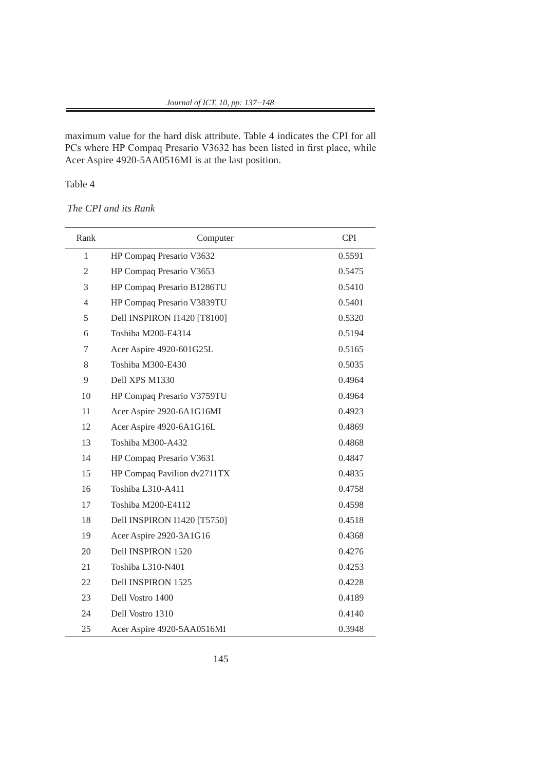maximum value for the hard disk attribute. Table 4 indicates the CPI for all PCs where HP Compaq Presario V3632 has been listed in first place, while Acer Aspire 4920-5AA0516MI is at the last position.

# Table 4

## *The CPI and its Rank*

| Rank           | Computer                    | <b>CPI</b> |
|----------------|-----------------------------|------------|
| $\mathbf{1}$   | HP Compaq Presario V3632    | 0.5591     |
| $\overline{2}$ | HP Compaq Presario V3653    | 0.5475     |
| 3              | HP Compaq Presario B1286TU  | 0.5410     |
| $\overline{4}$ | HP Compaq Presario V3839TU  | 0.5401     |
| 5              | Dell INSPIRON I1420 [T8100] | 0.5320     |
| 6              | Toshiba M200-E4314          | 0.5194     |
| 7              | Acer Aspire 4920-601G25L    | 0.5165     |
| 8              | Toshiba M300-E430           | 0.5035     |
| 9              | Dell XPS M1330              | 0.4964     |
| 10             | HP Compaq Presario V3759TU  | 0.4964     |
| 11             | Acer Aspire 2920-6A1G16MI   | 0.4923     |
| 12             | Acer Aspire 4920-6A1G16L    | 0.4869     |
| 13             | Toshiba M300-A432           | 0.4868     |
| 14             | HP Compaq Presario V3631    | 0.4847     |
| 15             | HP Compaq Pavilion dv2711TX | 0.4835     |
| 16             | Toshiba L310-A411           | 0.4758     |
| 17             | Toshiba M200-E4112          | 0.4598     |
| 18             | Dell INSPIRON I1420 [T5750] | 0.4518     |
| 19             | Acer Aspire 2920-3A1G16     | 0.4368     |
| 20             | Dell INSPIRON 1520          | 0.4276     |
| 21             | Toshiba L310-N401           | 0.4253     |
| 22             | Dell INSPIRON 1525          | 0.4228     |
| 23             | Dell Vostro 1400            | 0.4189     |
| 24             | Dell Vostro 1310            | 0.4140     |
| 25             | Acer Aspire 4920-5AA0516MI  | 0.3948     |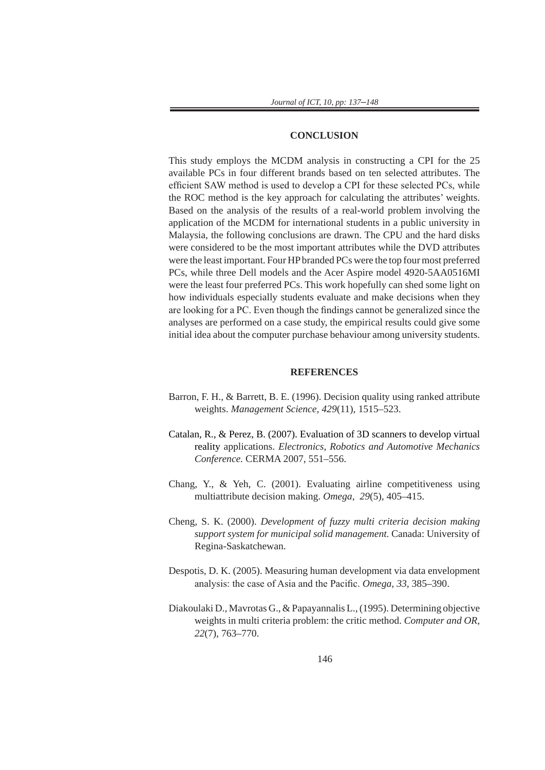#### **CONCLUSION**

This study employs the MCDM analysis in constructing a CPI for the 25 available PCs in four different brands based on ten selected attributes. The efficient SAW method is used to develop a CPI for these selected PCs, while the ROC method is the key approach for calculating the attributes' weights. Based on the analysis of the results of a real-world problem involving the application of the MCDM for international students in a public university in Malaysia, the following conclusions are drawn. The CPU and the hard disks were considered to be the most important attributes while the DVD attributes were the least important. Four HP branded PCs were the top four most preferred PCs, while three Dell models and the Acer Aspire model 4920-5AA0516MI were the least four preferred PCs. This work hopefully can shed some light on how individuals especially students evaluate and make decisions when they are looking for a PC. Even though the findings cannot be generalized since the analyses are performed on a case study, the empirical results could give some initial idea about the computer purchase behaviour among university students.

#### **REFERENCES**

- Barron, F. H., & Barrett, B. E. (1996). Decision quality using ranked attribute weights. *Management Science, 429*(11), 1515–523.
- Catalan, R., & Perez, B. (2007). Evaluation of 3D scanners to develop virtual reality applications. *Electronics, Robotics and Automotive Mechanics Conference.* CERMA 2007, 551–556.
- Chang, Y., & Yeh, C. (2001). Evaluating airline competitiveness using multiattribute decision making. *Omega*, *29*(5), 405–415.
- Cheng, S. K. (2000). *Development of fuzzy multi criteria decision making support system for municipal solid management.* Canada: University of Regina-Saskatchewan.
- Despotis, D. K. (2005). Measuring human development via data envelopment analysis: the case of Asia and the Pacific. *Omega*, *33*, 385–390.
- Diakoulaki D., Mavrotas G., & Papayannalis L., (1995). Determining objective weights in multi criteria problem: the critic method. *Computer and OR, 22*(7), 763–770.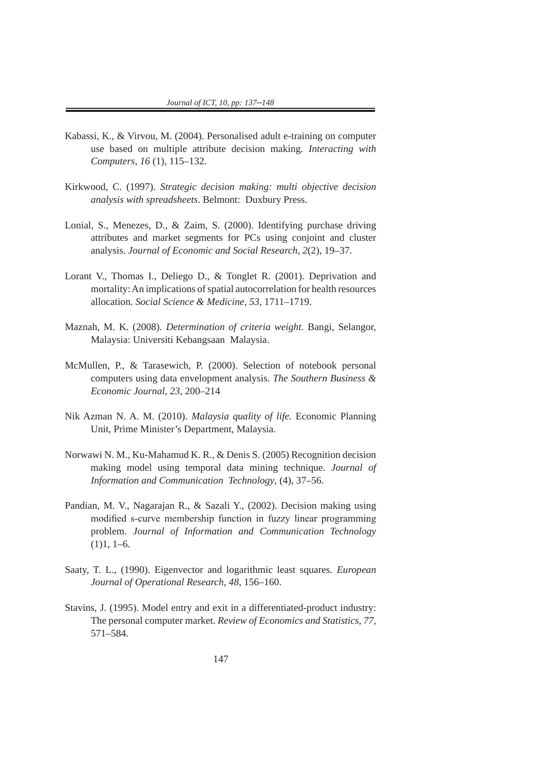- Kabassi, K., & Virvou, M. (2004). Personalised adult e-training on computer use based on multiple attribute decision making. *Interacting with Computers*, *16* (1), 115–132.
- Kirkwood, C. (1997). *Strategic decision making: multi objective decision analysis with spreadsheets*. Belmont: Duxbury Press.
- Lonial, S., Menezes, D., & Zaim, S. (2000). Identifying purchase driving attributes and market segments for PCs using conjoint and cluster analysis. *Journal of Economic and Social Research*, *2*(2), 19–37.
- Lorant V., Thomas I., Deliego D., & Tonglet R. (2001). Deprivation and mortality: An implications of spatial autocorrelation for health resources allocation. *Social Science & Medicine*, *53*, 1711–1719.
- Maznah, M. K. (2008). *Determination of criteria weight*. Bangi, Selangor, Malaysia: Universiti Kebangsaan Malaysia.
- McMullen, P., & Tarasewich, P. (2000). Selection of notebook personal computers using data envelopment analysis. *The Southern Business & Economic Journal*, *23*, 200–214
- Nik Azman N. A. M. (2010). *Malaysia quality of life.* Economic Planning Unit, Prime Minister's Department, Malaysia.
- Norwawi N. M., Ku-Mahamud K. R., & Denis S. (2005) Recognition decision making model using temporal data mining technique. *Journal of Information and Communication Technology*, (4), 37–56.
- Pandian, M. V., Nagarajan R., & Sazali Y., (2002). Decision making using modified s-curve membership function in fuzzy linear programming problem. *Journal of Information and Communication Technology*  $(1)1, 1-6.$
- Saaty, T. L., (1990). Eigenvector and logarithmic least squares. *European Journal of Operational Research, 48*, 156–160.
- Stavins, J. (1995). Model entry and exit in a differentiated-product industry: The personal computer market. *Review of Economics and Statistics*, *77,* 571–584.